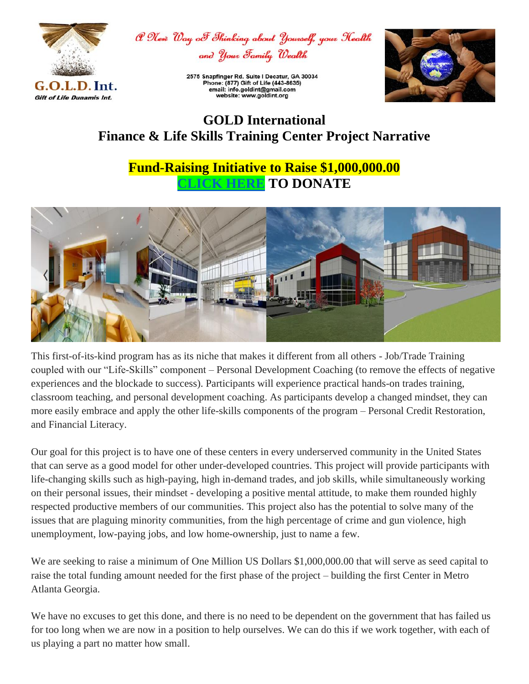

C New Way of Thinking about Yourself, your Health and Your Family Wealth

2575 Snapfinger Rd. Suite I Decatur, GA 30034<br>Phone: (877) Gift of Life (443-8635)<br>email: info.goldint@gmail.com<br>website: www.goldint.org



## **GOLD International Finance & Life Skills Training Center Project Narrative**

## **Fund-Raising Initiative to Raise \$1,000,000.00 ICK HERE TO DONATE**



This first-of-its-kind program has as its niche that makes it different from all others - Job/Trade Training coupled with our "Life-Skills" component – Personal Development Coaching (to remove the effects of negative experiences and the blockade to success). Participants will experience practical hands-on trades training, classroom teaching, and personal development coaching. As participants develop a changed mindset, they can more easily embrace and apply the other life-skills components of the program – Personal Credit Restoration, and Financial Literacy.

Our goal for this project is to have one of these centers in every underserved community in the United States that can serve as a good model for other under-developed countries. This project will provide participants with life-changing skills such as high-paying, high in-demand trades, and job skills, while simultaneously working on their personal issues, their mindset - developing a positive mental attitude, to make them rounded highly respected productive members of our communities. This project also has the potential to solve many of the issues that are plaguing minority communities, from the high percentage of crime and gun violence, high unemployment, low-paying jobs, and low home-ownership, just to name a few.

We are seeking to raise a minimum of One Million US Dollars \$1,000,000.00 that will serve as seed capital to raise the total funding amount needed for the first phase of the project – building the first Center in Metro Atlanta Georgia.

We have no excuses to get this done, and there is no need to be dependent on the government that has failed us for too long when we are now in a position to help ourselves. We can do this if we work together, with each of us playing a part no matter how small.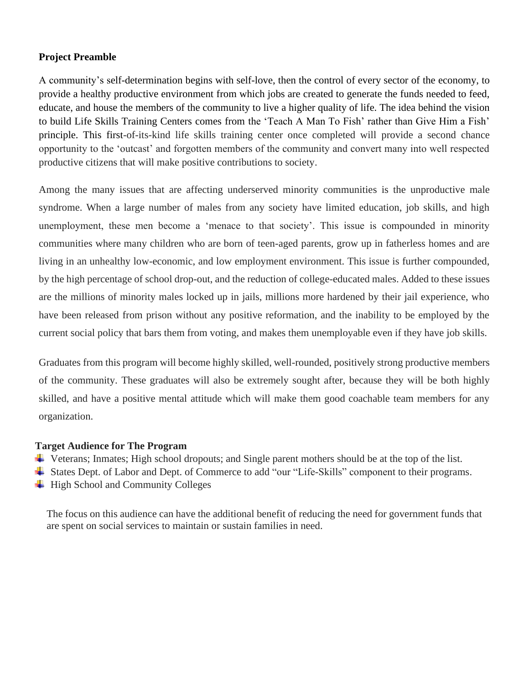#### **Project Preamble**

A community's self-determination begins with self-love, then the control of every sector of the economy, to provide a healthy productive environment from which jobs are created to generate the funds needed to feed, educate, and house the members of the community to live a higher quality of life. The idea behind the vision to build Life Skills Training Centers comes from the 'Teach A Man To Fish' rather than Give Him a Fish' principle. This first-of-its-kind life skills training center once completed will provide a second chance opportunity to the 'outcast' and forgotten members of the community and convert many into well respected productive citizens that will make positive contributions to society.

Among the many issues that are affecting underserved minority communities is the unproductive male syndrome. When a large number of males from any society have limited education, job skills, and high unemployment, these men become a 'menace to that society'. This issue is compounded in minority communities where many children who are born of teen-aged parents, grow up in fatherless homes and are living in an unhealthy low-economic, and low employment environment. This issue is further compounded, by the high percentage of school drop-out, and the reduction of college-educated males. Added to these issues are the millions of minority males locked up in jails, millions more hardened by their jail experience, who have been released from prison without any positive reformation, and the inability to be employed by the current social policy that bars them from voting, and makes them unemployable even if they have job skills.

Graduates from this program will become highly skilled, well-rounded, positively strong productive members of the community. These graduates will also be extremely sought after, because they will be both highly skilled, and have a positive mental attitude which will make them good coachable team members for any organization.

#### **Target Audience for The Program**

- Veterans; Inmates; High school dropouts; and Single parent mothers should be at the top of the list.
- States Dept. of Labor and Dept. of Commerce to add "our "Life-Skills" component to their programs.
- $\overline{\phantom{a}}$  High School and Community Colleges

The focus on this audience can have the additional benefit of reducing the need for government funds that are spent on social services to maintain or sustain families in need.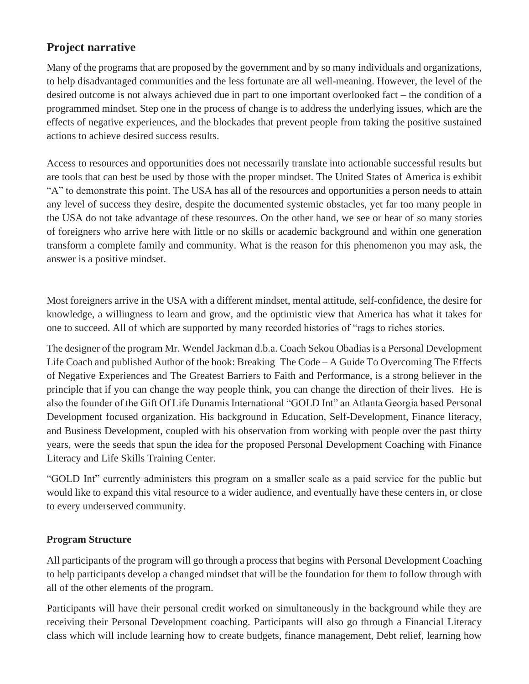### **Project narrative**

Many of the programs that are proposed by the government and by so many individuals and organizations, to help disadvantaged communities and the less fortunate are all well-meaning. However, the level of the desired outcome is not always achieved due in part to one important overlooked fact – the condition of a programmed mindset. Step one in the process of change is to address the underlying issues, which are the effects of negative experiences, and the blockades that prevent people from taking the positive sustained actions to achieve desired success results.

Access to resources and opportunities does not necessarily translate into actionable successful results but are tools that can best be used by those with the proper mindset. The United States of America is exhibit "A" to demonstrate this point. The USA has all of the resources and opportunities a person needs to attain any level of success they desire, despite the documented systemic obstacles, yet far too many people in the USA do not take advantage of these resources. On the other hand, we see or hear of so many stories of foreigners who arrive here with little or no skills or academic background and within one generation transform a complete family and community. What is the reason for this phenomenon you may ask, the answer is a positive mindset.

Most foreigners arrive in the USA with a different mindset, mental attitude, self-confidence, the desire for knowledge, a willingness to learn and grow, and the optimistic view that America has what it takes for one to succeed. All of which are supported by many recorded histories of "rags to riches stories.

The designer of the program Mr. Wendel Jackman d.b.a. Coach Sekou Obadias is a Personal Development Life Coach and published Author of the book: Breaking The Code – A Guide To Overcoming The Effects of Negative Experiences and The Greatest Barriers to Faith and Performance, is a strong believer in the principle that if you can change the way people think, you can change the direction of their lives. He is also the founder of the Gift Of Life Dunamis International "GOLD Int" an Atlanta Georgia based Personal Development focused organization. His background in Education, Self-Development, Finance literacy, and Business Development, coupled with his observation from working with people over the past thirty years, were the seeds that spun the idea for the proposed Personal Development Coaching with Finance Literacy and Life Skills Training Center.

"GOLD Int" currently administers this program on a smaller scale as a paid service for the public but would like to expand this vital resource to a wider audience, and eventually have these centers in, or close to every underserved community.

#### **Program Structure**

All participants of the program will go through a process that begins with Personal Development Coaching to help participants develop a changed mindset that will be the foundation for them to follow through with all of the other elements of the program.

Participants will have their personal credit worked on simultaneously in the background while they are receiving their Personal Development coaching. Participants will also go through a Financial Literacy class which will include learning how to create budgets, finance management, Debt relief, learning how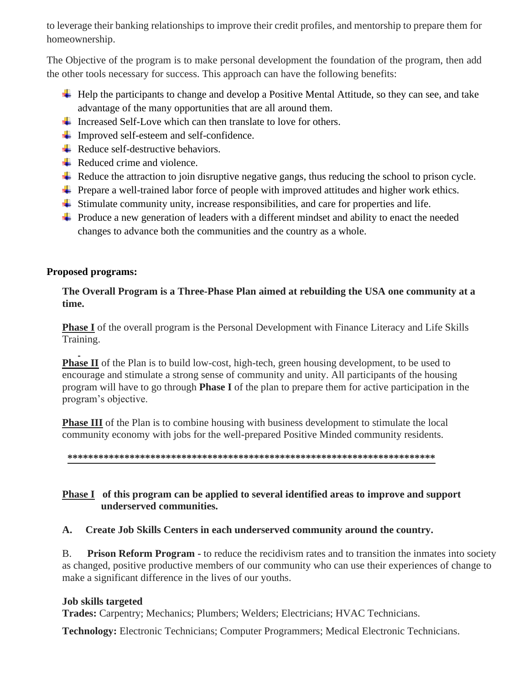to leverage their banking relationships to improve their credit profiles, and mentorship to prepare them for homeownership.

The Objective of the program is to make personal development the foundation of the program, then add the other tools necessary for success. This approach can have the following benefits:

- $\ddot{+}$  Help the participants to change and develop a Positive Mental Attitude, so they can see, and take advantage of the many opportunities that are all around them.
- $\ddot{\text{I}}$  Increased Self-Love which can then translate to love for others.
- $\downarrow$  Improved self-esteem and self-confidence.
- $\overline{\phantom{a}}$  Reduce self-destructive behaviors.
- $\overline{\phantom{a}}$  Reduced crime and violence.
- $\overline{\phantom{a}}$  Reduce the attraction to join disruptive negative gangs, thus reducing the school to prison cycle.
- $\downarrow$  Prepare a well-trained labor force of people with improved attitudes and higher work ethics.
- $\ddot{\phantom{1}}$  Stimulate community unity, increase responsibilities, and care for properties and life.
- $\overline{\phantom{a}}$  Produce a new generation of leaders with a different mindset and ability to enact the needed changes to advance both the communities and the country as a whole.

#### **Proposed programs:**

#### **The Overall Program is a Three-Phase Plan aimed at rebuilding the USA one community at a time.**

**Phase I** of the overall program is the Personal Development with Finance Literacy and Life Skills Training.

**Phase II** of the Plan is to build low-cost, high-tech, green housing development, to be used to encourage and stimulate a strong sense of community and unity. All participants of the housing program will have to go through **Phase I** of the plan to prepare them for active participation in the program's objective.

**Phase III** of the Plan is to combine housing with business development to stimulate the local community economy with jobs for the well-prepared Positive Minded community residents.

 **\*\*\*\*\*\*\*\*\*\*\*\*\*\*\*\*\*\*\*\*\*\*\*\*\*\*\*\*\*\*\*\*\*\*\*\*\*\*\*\*\*\*\*\*\*\*\*\*\*\*\*\*\*\*\*\*\*\*\*\*\*\*\*\*\*\*\*\*\*\*\***

#### **Phase I** of this program can be applied to several identified areas to improve and support  **underserved communities.**

#### **A. Create Job Skills Centers in each underserved community around the country.**

B. **Prison Reform Program -** to reduce the recidivism rates and to transition the inmates into society as changed, positive productive members of our community who can use their experiences of change to make a significant difference in the lives of our youths.

#### **Job skills targeted**

**Trades:** Carpentry; Mechanics; Plumbers; Welders; Electricians; HVAC Technicians.

**Technology:** Electronic Technicians; Computer Programmers; Medical Electronic Technicians.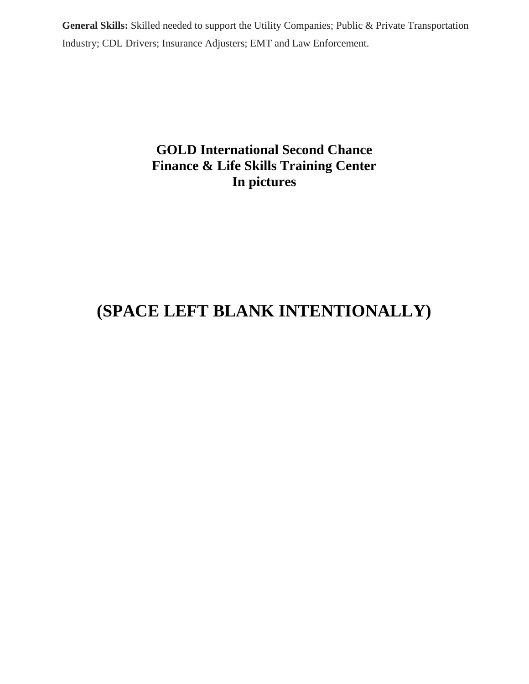**General Skills:** Skilled needed to support the Utility Companies; Public & Private Transportation Industry; CDL Drivers; Insurance Adjusters; EMT and Law Enforcement.

## **GOLD International Second Chance Finance & Life Skills Training Center In pictures**

## **(SPACE LEFT BLANK INTENTIONALLY)**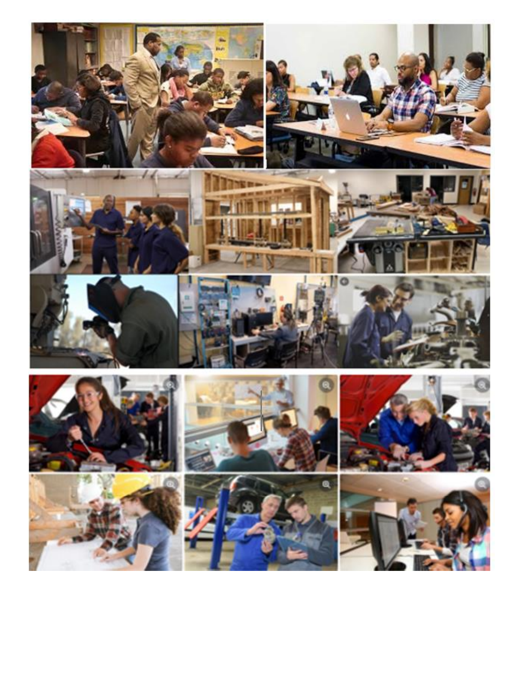